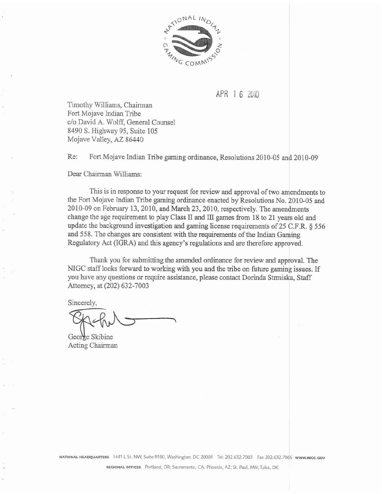

# APR 1 6 2010

Timothy Williams, Chairman Fort Mojave Indian Tribe c/o **David A.** Wolff, General Counsel 8490 S. Highway 95, Suite 105 Mojave Valley, **AZ** 86440

Re: Fort Mojave Indian Tribe gaming ordinance, Resolutions 2010-05 and 2010-09

Dear Chairman Williams:

This is in response to your request for review and approval of two amendments to the Fort Mojave Indian Tribe gaming ordinance **enacted** by Resolutions No. **2010-05** and 2010-09 on February 13, 2010, and March 23, 2010, respectively. The amendments change the age requirement to play Class II and III games from 18 to 21 years old and update the background investigation and **gaming license** requirements of **25** C.F.R. 6 **556**  and **558.** The changes are consistent with the requirements **of** the Indian Gaming Regulatory **Act** (IGRA) and **this** agency's regulations and are therefore approved.

Thank you for submitting **the** amended ordinance for review and **approval.** The NIGC staff looks forward to working with you and the tribe on future gaming issues. If you have any questions or require assistance, please contact Dorinda Strmiska, Staff Attorney, at (202) 632-7003

Sincerely,

George Skibine Acting Chairman

 $N$ ATIONAL HEADQUARTERS 1441 L St. NW, Suite 9100, Washington, DC 20005 Tel: 202.632.7003 Fax 202.632.7066 **WWW.NIGC.GOV** 

**REGIONAL OFFICES** Portland, OR; Sacramento, CA; Phoenix, AZ; St. Paul, MN; Tulsa, OK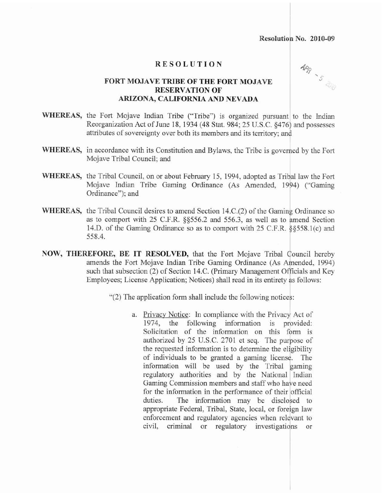#### **RESOLUTION**

**1PR - 5 210** 

## **FORT MOJAVE TRIBE OF THE FORT MOJAVE RESERVATION OF ARIZONA, CALIFORNIA AND NEVADA**

- WHEREAS, the Fort Mojave Indian Tribe ("Tribe") is organized pursuant to the Indian Reorganization Act of June 18, 1934 (48 Stat. 984; 25 U.S.C. §476) and possesses attributes of sovereignty over both its members and its territory; and
- WHEREAS, in accordance with its Constitution and Bylaws, the Tribe is governed by the Fort Mojave Tribal Council; and
- WHEREAS, the Tribal Council, on or about February 15, 1994, adopted as Tribal law the Fort Mojave Indian Tribe Gaming Ordinance **(As** Amended, 1994) ("'Gaming Ordinance"); and
- **WHEREAS,** the Tribal Council desires to amend Section 14.C.(2) of the Gaming Ordinance so as to comport with *25* C.F.R. 95556.2 **and** *556.3,* as **well** as to amend Section 14.D. of the Gaming Ordinance so as to comport with 25 C.F.R. 5§558.1(c) and **558.4.**
- **NOW, THEREFORE,** BE IT RESOLVED, that the Fort Mojave Tribal Council hereby amends the Fort Mojave Indian Tribe Gaming Ordinance **(As** Amended, 1994) such that subsection (2) of Section 14.C. (Primary Management Officials and Key Employees; License Application; Notices) shall read in its entirety as follows:
	- "(2) The application form shall include the following notices:
		- **a.** Privacy Notice: In compliance with the Privacy Act of 1974, **the** following information is provided: Solicitation of the information on this form is authorized by 25 U.S.C. 2701 et seq. The purpose of the requested information is to determine the eligibility of individuals to be granted a gaming license. The information **will** be used by the **Tribal gaming**  regulatory authorities and by the National Indian Gaming Commission members and staff who have need for the information in the performance of their officiat duties. The information may be disclosed to appropriate Federal, Tribal, State, local, or foreign law  $enforcement$  and regulatory agencies when relevant to civil, criminal or reguiatory investigations or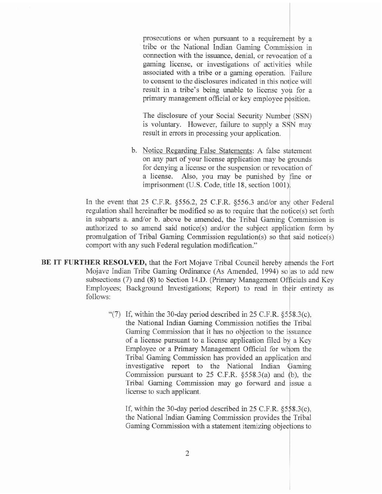prosecutions or when pursuant to a requirement by a tribe or the National Indian Gaming Commission in connection with the issuance, denial, or revocation of a gaming license, or investigations of activities while associated with **a** tribe or a gaming operation. Failure to consent to the disciosures indicated in this notice will result in a tribe's being unable to license you for a primary management official or key employee position.

The disclosure of your **Social** Security Number **(SSN)**  is voluntary. However, failure *to* supply **a SSN** may result in errors in processing your application.

b. Notice Regarding False Statements: A false statement on **any** part of your license application may be grounds for denying a license or the suspension or revocation of a license. Also, you may be punished by fine or imprisonment (U.S. Code, title 18, section 1001).

In the event that 25 C.F.R. §556.2, 25 C.F.R. §556.3 and/or any other Federal regulation shall hereinafter be modified so as to require that the notice(s) set forth in subparts a. and/or b. above be amended, the Tribal Gaming Commission is authorized to so amend said notice(s) and/or the subject application form by promulgation of Tribal Gaming Commission regulation(s) so that said notice(s) comport with any such Federal regulation modification."

- **BE** IT FURTHER RESOLVED, that the Fort Mojave Tribal Council hereby ahends **the** Fort Mojave Indian Tribe Gaming Ordinance **(As** Amended, 1994) so as to add new subsections (7) and (8) to Section 14.D. (Primary Management Officials and Key Employees; Background Investigations; Report) to read in their entirety as follows:
	- "(7) If, within the 30-day period described in 25 C.F.R. §558.3(c), the National Indian Gaming Commission notifies the Tribal Gaming Commission that it has no objection to the issuance of a license pursuant to a license application filed by a Key Employee or a Primary Management Oficial for whom the Tribal Gaming Commission has provided an application and investigative report to the National Indian Gaming Commission pursuant to  $25$  C.F.R.  $\S 558.3(a)$  and (b), the Tribal Gaming Commission may go forward and issue a license to such applicant.

If, within the 30-day period described in *25* C.F.R. **§55&.3(c),**  the National Indian Gaming Commission provides the Tribal Gaming Commission with a statement itemizing objections to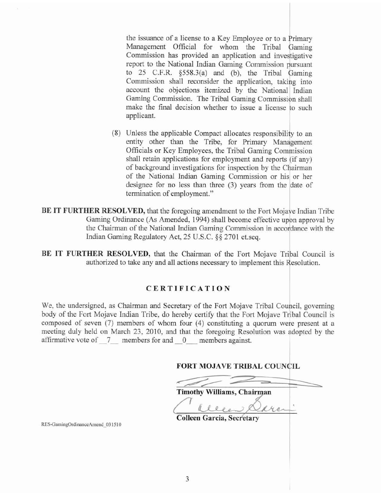the issuance of **a** license **to a** Key Employee or to a Primary Management Official for whom the Tribal Gaming Commission has provided an application **and** investigative report to the National Indian Gaming Commission pursuant to 25 C.F.R. **1\$558.3(a)** and (b), the Tribal Gaming Commission shall reconsider the application, **taking** into account the objections itemized by the National Indian Gaming Commission. The Tribal Gaming Commission shall make the final decision whether to issue a license to such applicant.

- (8) Unless the applicable Compact allocates responsibility to an entity other than the Tribe, for Primary Management Oficials or Key Employees, the Tribal Gaming Commission shall retain applications for empIoyment and **reports** (if any) of background investigations for inspection by the Chairman of the National Indian Gaming Commission or his or her designee for no less than three **(3)** years from the date of termination of employment."
- **BE IT FURTHER RESOLVED, that the foregoing amendment to the Fort Mojave Indian Tribe** Gaming Ordinance **(As** Amended, 1994) shall become effective upon approval by the Chairman of the National Indian Gaming Commission in accordance with the Indian Gaming Regulatory **Act, 25 U.S.C. \$8** 2701 **et.seq.**

**BE IT FURTHER RESOLVED, that the Chairman of the Fort Mojave Tribal Council is** authorized to take any and all actions necessary to implement this Resolution.

## **CERTIFICATION**

We, the undersigned, as Chairman and Secretary of the Fort Mojave Tribal Council, governing body of the Fort Mojave Indian Tribe, do hereby certify that the Fort Mojave Tribal Council is composed of seven **(7)** members of whom four (4) constituting a quorum were present at a meeting duly held on March 23, 2010, and that the foregoing Resolution was adopted by the affirmative vote of 7 members for and 0 members against.

**FORT MOJAVE TRIBAL COUNCIL** 

**Timothy Williams, Chairman** 

**Colleen Garcia, Secretary** 

RES-GamingOrdinanceAmend 031510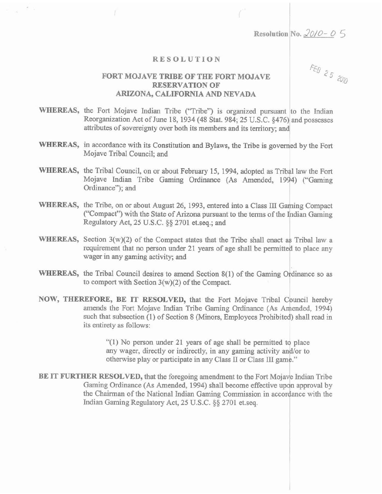**Resolution No. 20/0-05** 

#### **RESOLUTION**

## **FORT MOJAVE TRIBE OF THE FORT MOJAVE RESERVATION OF ARIZONA, CALIFORNIA AND NEVADA**

FEB 25 2010

- WHEREAS, the Fort Mojave Indian Tribe ("Tribe") is organized pursuant to the Indian Reorganization **Act** of June 18, **1934 (48 Stat. 984; 25** U.S.C. **\$476)** and possesses attributes of sovereignty over both its members and its territory; **and**
- WHEREAS, in accordance with its Constitution and ByIaws, the Tribe is governed **by** the Fort **Mojave** Tribal Council; **and**
- **WHEREAS,** the Tribal Council, on or about February 15, 1994, adopted as Tribal law **the** Fort Mojave Indian Tribe Gaming Ordinance (As Amended, 1994) ("Gaming Ordinance"); and
- **WHEREAS,** the Tribe, on or about August *26,* 1993, entered into a Class 111 Gaming Compact ("Compact") with the State of **Arizona** pursuant to the terms of the Indian **Gaming Regulatory Act,** 25 U.S.C. **\$5** 2701 et.seq.; and
- **WHEREAS, Section** 3(w)(2) of the Compact **states** that the Tribe shall **enact** as Tribal law a requirement that no **person** under **21 years of** age **shall** be permitted to place any **wager** in any gaming activity; **and**
- WHEREAS, the Tribal Council desires to amend Section 8(1) of the Gaming Ordinance so as **to** comport with Section **3(w)(2)** of **the** Compact.
- **NOW, THEREFORE, BE IT RESOLVED, that** the Fort Mojave Tribal Council hereby amends the Fort Mojave Indian Tribe Gaming Ordinance (As Amended, 1994) **such that subsection (1) of Section 8 (Minors, Employees Prohibited) shall read in its entirety as follows:**

**"(I\$** No person **under** 21 **years of** age shall be permitted to **place**  any wager, **directly** or indirectly, in any **gaming activity** andlor to otherwise play or **participate in** any Class XI **or** Class III **game."** 

**BE IT FURTHER RESOLVED, that the foregoing amendment to the Fort Mojave Indian Tribe** Gaming Ordinance **(As** Amended, **1994)** shall become effective **upon approval** by the Chairman of **the** National Indian Gaming Commission in accordance with the Indian Gaming Regulatory **Act, 25** U.S.C. **3 8** 2701 **et.seq.**